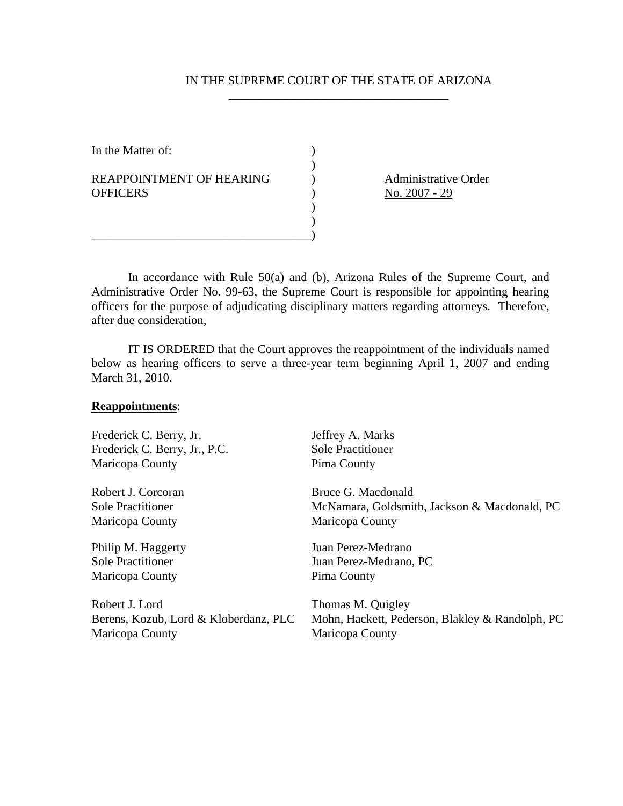## IN THE SUPREME COURT OF THE STATE OF ARIZONA \_\_\_\_\_\_\_\_\_\_\_\_\_\_\_\_\_\_\_\_\_\_\_\_\_\_\_\_\_\_\_\_\_\_\_\_

In the Matter of:  $\qquad \qquad$  )  $)$ REAPPOINTMENT OF HEARING (a) Administrative Order OFFICERS ) <u>No. 2007 - 29</u>  $\overline{\phantom{a}}$  $)$ \_\_\_\_\_\_\_\_\_\_\_\_\_\_\_\_\_\_\_\_\_\_\_\_\_\_\_\_\_\_\_\_\_\_\_\_)

 In accordance with Rule 50(a) and (b), Arizona Rules of the Supreme Court, and Administrative Order No. 99-63, the Supreme Court is responsible for appointing hearing officers for the purpose of adjudicating disciplinary matters regarding attorneys. Therefore, after due consideration,

 IT IS ORDERED that the Court approves the reappointment of the individuals named below as hearing officers to serve a three-year term beginning April 1, 2007 and ending March 31, 2010.

## **Reappointments**:

| Jeffrey A. Marks                                                                        |
|-----------------------------------------------------------------------------------------|
| <b>Sole Practitioner</b>                                                                |
| Pima County                                                                             |
| Bruce G. Macdonald                                                                      |
| McNamara, Goldsmith, Jackson & Macdonald, PC                                            |
| Maricopa County                                                                         |
| Juan Perez-Medrano                                                                      |
| Juan Perez-Medrano, PC                                                                  |
| Pima County                                                                             |
| Thomas M. Quigley<br>Mohn, Hackett, Pederson, Blakley & Randolph, PC<br>Maricopa County |
|                                                                                         |